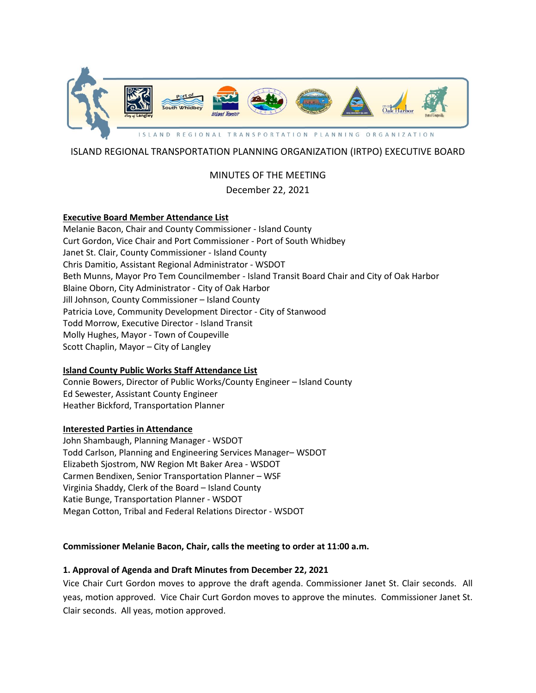

# ISLAND REGIONAL TRANSPORTATION PLANNING ORGANIZATION (IRTPO) EXECUTIVE BOARD

# MINUTES OF THE MEETING December 22, 2021

# **Executive Board Member Attendance List**

Melanie Bacon, Chair and County Commissioner - Island County Curt Gordon, Vice Chair and Port Commissioner - Port of South Whidbey Janet St. Clair, County Commissioner - Island County Chris Damitio, Assistant Regional Administrator - WSDOT Beth Munns, Mayor Pro Tem Councilmember - Island Transit Board Chair and City of Oak Harbor Blaine Oborn, City Administrator - City of Oak Harbor Jill Johnson, County Commissioner – Island County Patricia Love, Community Development Director - City of Stanwood Todd Morrow, Executive Director - Island Transit Molly Hughes, Mayor - Town of Coupeville Scott Chaplin, Mayor – City of Langley

## **Island County Public Works Staff Attendance List**

Connie Bowers, Director of Public Works/County Engineer – Island County Ed Sewester, Assistant County Engineer Heather Bickford, Transportation Planner

#### **Interested Parties in Attendance**

John Shambaugh, Planning Manager - WSDOT Todd Carlson, Planning and Engineering Services Manager– WSDOT Elizabeth Sjostrom, NW Region Mt Baker Area - WSDOT Carmen Bendixen, Senior Transportation Planner – WSF Virginia Shaddy, Clerk of the Board – Island County Katie Bunge, Transportation Planner - WSDOT Megan Cotton, Tribal and Federal Relations Director - WSDOT

#### **Commissioner Melanie Bacon, Chair, calls the meeting to order at 11:00 a.m.**

#### **1. Approval of Agenda and Draft Minutes from December 22, 2021**

Vice Chair Curt Gordon moves to approve the draft agenda. Commissioner Janet St. Clair seconds. All yeas, motion approved. Vice Chair Curt Gordon moves to approve the minutes. Commissioner Janet St. Clair seconds. All yeas, motion approved.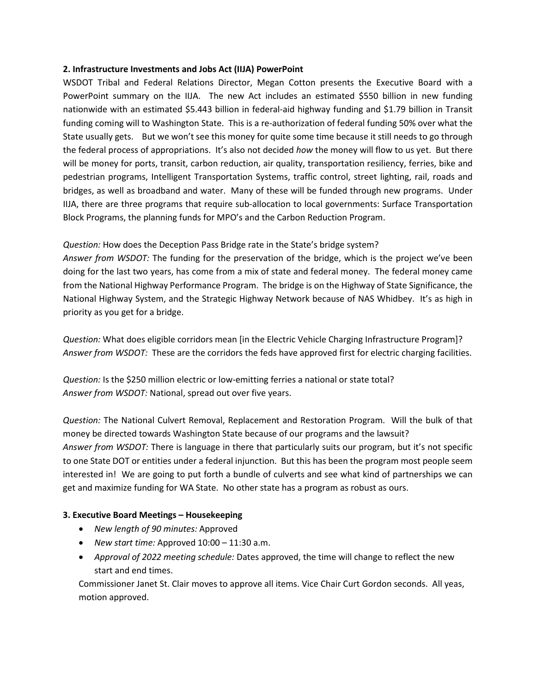#### **2. Infrastructure Investments and Jobs Act (IIJA) PowerPoint**

WSDOT Tribal and Federal Relations Director, Megan Cotton presents the Executive Board with a PowerPoint summary on the IIJA. The new Act includes an estimated \$550 billion in new funding nationwide with an estimated \$5.443 billion in federal-aid highway funding and \$1.79 billion in Transit funding coming will to Washington State. This is a re-authorization of federal funding 50% over what the State usually gets. But we won't see this money for quite some time because it still needs to go through the federal process of appropriations. It's also not decided *how* the money will flow to us yet. But there will be money for ports, transit, carbon reduction, air quality, transportation resiliency, ferries, bike and pedestrian programs, Intelligent Transportation Systems, traffic control, street lighting, rail, roads and bridges, as well as broadband and water. Many of these will be funded through new programs. Under IIJA, there are three programs that require sub-allocation to local governments: Surface Transportation Block Programs, the planning funds for MPO's and the Carbon Reduction Program.

*Question:* How does the Deception Pass Bridge rate in the State's bridge system?

*Answer from WSDOT:* The funding for the preservation of the bridge, which is the project we've been doing for the last two years, has come from a mix of state and federal money. The federal money came from the National Highway Performance Program. The bridge is on the Highway of State Significance, the National Highway System, and the Strategic Highway Network because of NAS Whidbey. It's as high in priority as you get for a bridge.

*Question:* What does eligible corridors mean [in the Electric Vehicle Charging Infrastructure Program]? *Answer from WSDOT:* These are the corridors the feds have approved first for electric charging facilities.

*Question:* Is the \$250 million electric or low-emitting ferries a national or state total? *Answer from WSDOT:* National, spread out over five years.

*Question:* The National Culvert Removal, Replacement and Restoration Program. Will the bulk of that money be directed towards Washington State because of our programs and the lawsuit? *Answer from WSDOT:* There is language in there that particularly suits our program, but it's not specific to one State DOT or entities under a federal injunction. But this has been the program most people seem interested in! We are going to put forth a bundle of culverts and see what kind of partnerships we can get and maximize funding for WA State. No other state has a program as robust as ours.

## **3. Executive Board Meetings – Housekeeping**

- *New length of 90 minutes:* Approved
- *New start time:* Approved 10:00 11:30 a.m.
- *Approval of 2022 meeting schedule:* Dates approved, the time will change to reflect the new start and end times.

Commissioner Janet St. Clair moves to approve all items. Vice Chair Curt Gordon seconds. All yeas, motion approved.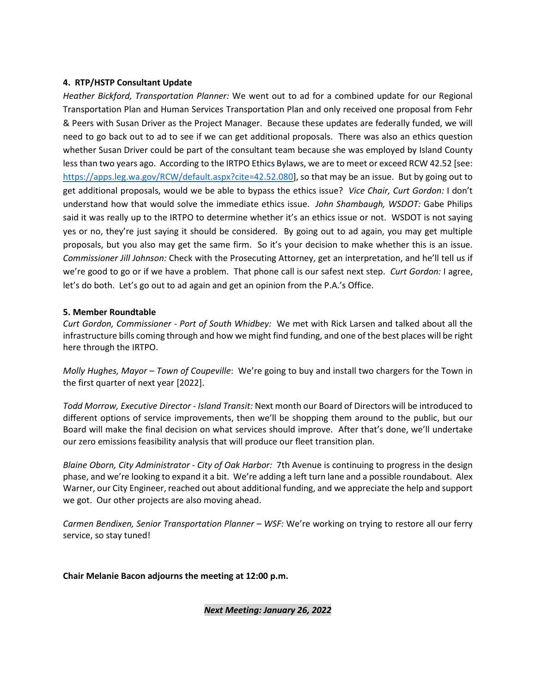#### **4. RTP/HSTP Consultant Update**

*Heather Bickford, Transportation Planner:* We went out to ad for a combined update for our Regional Transportation Plan and Human Services Transportation Plan and only received one proposal from Fehr & Peers with Susan Driver as the Project Manager. Because these updates are federally funded, we will need to go back out to ad to see if we can get additional proposals. There was also an ethics question whether Susan Driver could be part of the consultant team because she was employed by Island County less than two years ago. According to the IRTPO Ethics Bylaws, we are to meet or exceed RCW 42.52 [see: [https://apps.leg.wa.gov/RCW/default.aspx?cite=42.52.080\]](https://apps.leg.wa.gov/RCW/default.aspx?cite=42.52.080), so that may be an issue. But by going out to get additional proposals, would we be able to bypass the ethics issue? *Vice Chair, Curt Gordon:* I don't understand how that would solve the immediate ethics issue. *John Shambaugh, WSDOT:* Gabe Philips said it was really up to the IRTPO to determine whether it's an ethics issue or not. WSDOT is not saying yes or no, they're just saying it should be considered. By going out to ad again, you may get multiple proposals, but you also may get the same firm. So it's your decision to make whether this is an issue. *Commissioner Jill Johnson:* Check with the Prosecuting Attorney, get an interpretation, and he'll tell us if we're good to go or if we have a problem. That phone call is our safest next step. *Curt Gordon:* I agree, let's do both. Let's go out to ad again and get an opinion from the P.A.'s Office.

#### **5. Member Roundtable**

*Curt Gordon, Commissioner - Port of South Whidbey:* We met with Rick Larsen and talked about all the infrastructure bills coming through and how we might find funding, and one of the best places will be right here through the IRTPO.

*Molly Hughes, Mayor – Town of Coupeville*: We're going to buy and install two chargers for the Town in the first quarter of next year [2022].

*Todd Morrow, Executive Director - Island Transit:* Next month our Board of Directors will be introduced to different options of service improvements, then we'll be shopping them around to the public, but our Board will make the final decision on what services should improve. After that's done, we'll undertake our zero emissions feasibility analysis that will produce our fleet transition plan.

*Blaine Oborn, City Administrator - City of Oak Harbor:* 7th Avenue is continuing to progress in the design phase, and we're looking to expand it a bit. We're adding a left turn lane and a possible roundabout. Alex Warner, our City Engineer, reached out about additional funding, and we appreciate the help and support we got. Our other projects are also moving ahead.

*Carmen Bendixen, Senior Transportation Planner – WSF:* We're working on trying to restore all our ferry service, so stay tuned!

#### **Chair Melanie Bacon adjourns the meeting at 12:00 p.m.**

#### *Next Meeting: January 26, 2022*